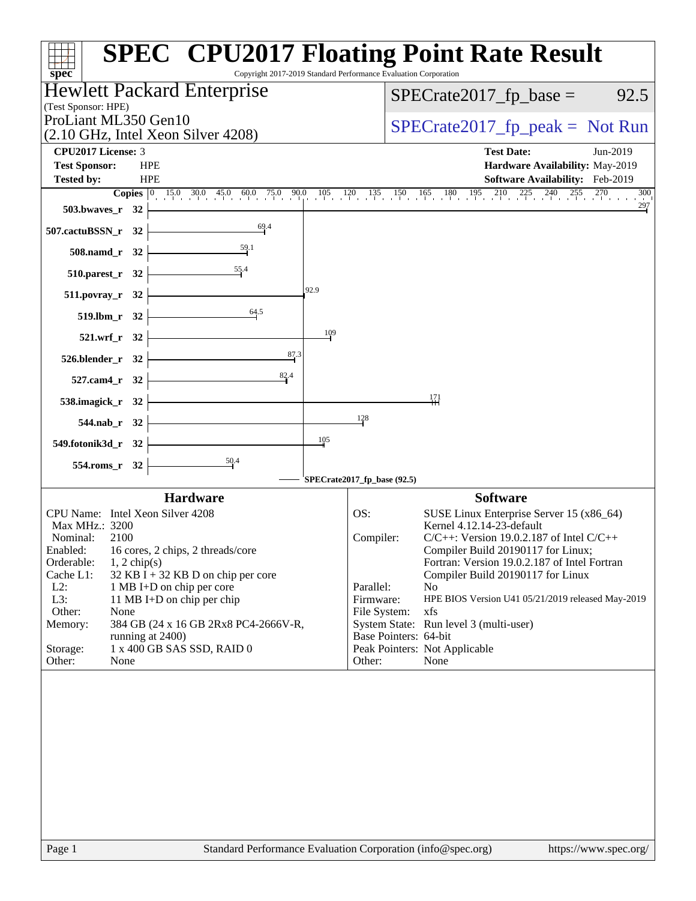| $spec^*$                                                                                 | <b>SPEC<sup>®</sup> CPU2017 Floating Point Rate Result</b><br>Copyright 2017-2019 Standard Performance Evaluation Corporation                                                  |
|------------------------------------------------------------------------------------------|--------------------------------------------------------------------------------------------------------------------------------------------------------------------------------|
| Hewlett Packard Enterprise                                                               | $SPECrate2017_fp\_base = 92.5$                                                                                                                                                 |
| (Test Sponsor: HPE)                                                                      |                                                                                                                                                                                |
| ProLiant ML350 Gen10<br>$(2.10 \text{ GHz}, \text{Intel Xeon Silver } 4208)$             | $SPECrate2017_fp\_peak = Not Run$                                                                                                                                              |
| CPU2017 License: 3                                                                       | <b>Test Date:</b><br>Jun-2019                                                                                                                                                  |
| <b>Test Sponsor:</b><br><b>HPE</b>                                                       | Hardware Availability: May-2019                                                                                                                                                |
| <b>HPE</b><br><b>Tested by:</b>                                                          | Software Availability: Feb-2019                                                                                                                                                |
|                                                                                          | <b>Copies</b> $\begin{bmatrix} 0 & 15.0 & 30.0 & 45.0 & 60.0 & 75.0 & 90.0 & 105 & 120 & 135 & 150 & 165 & 180 & 195 & 210 & 225 & 240 & 255 & 270 & 300 \end{bmatrix}$<br>300 |
| 503.bwaves_r $32$ $\rightarrow$                                                          | $\frac{297}{2}$                                                                                                                                                                |
| 69.4<br>507.cactuBSSN_r 32 $\vert$                                                       |                                                                                                                                                                                |
| 508.namd_r 32 $\frac{59.1}{1}$                                                           |                                                                                                                                                                                |
| 510.parest_r 32 $\overline{\qquad \qquad }$ 55.4                                         |                                                                                                                                                                                |
| 92.9<br>511.povray_r 32 $\vert$                                                          |                                                                                                                                                                                |
| 519.1bm_r 32 $\frac{64.5}{1}$                                                            |                                                                                                                                                                                |
| 109<br>$521.wrf_r$ $32$                                                                  |                                                                                                                                                                                |
| $526. \text{blender}_r$ $32$<br>87.3                                                     |                                                                                                                                                                                |
| 527.cam4_r 32 $\frac{82}{1}$                                                             |                                                                                                                                                                                |
| 538.imagick_r 32 $\longleftarrow$                                                        | 171                                                                                                                                                                            |
| $544.nab_r$ $32$                                                                         | 128                                                                                                                                                                            |
| 105<br>$549.$ fotonik $3d$ _r $32$ $\overline{\phantom{a}}$                              |                                                                                                                                                                                |
| $554. \text{rms}_r$ 32 $\overline{\qquad}$                                               |                                                                                                                                                                                |
|                                                                                          | SPECrate2017_fp_base (92.5)                                                                                                                                                    |
| <b>Hardware</b>                                                                          | <b>Software</b>                                                                                                                                                                |
| CPU Name: Intel Xeon Silver 4208                                                         | SUSE Linux Enterprise Server 15 (x86_64)<br>OS:                                                                                                                                |
| Max MHz.: 3200<br>Nominal:<br>2100                                                       | Kernel 4.12.14-23-default<br>Compiler:<br>$C/C++$ : Version 19.0.2.187 of Intel $C/C++$                                                                                        |
| Enabled: 16 cores, 2 chips, 2 threads/core                                               | Compiler Build 20190117 for Linux;                                                                                                                                             |
| Orderable:<br>$1, 2$ chip(s)                                                             | Fortran: Version 19.0.2.187 of Intel Fortran                                                                                                                                   |
| Cache L1:<br>$32$ KB I + 32 KB D on chip per core<br>$L2$ :<br>1 MB I+D on chip per core | Compiler Build 20190117 for Linux<br>Parallel:<br>N <sub>0</sub>                                                                                                               |
| L3:<br>11 MB I+D on chip per chip                                                        | Firmware:<br>HPE BIOS Version U41 05/21/2019 released May-2019                                                                                                                 |
| Other:<br>None                                                                           | File System:<br>xfs                                                                                                                                                            |
| 384 GB (24 x 16 GB 2Rx8 PC4-2666V-R,<br>Memory:<br>running at 2400)                      | System State: Run level 3 (multi-user)<br>Base Pointers: 64-bit                                                                                                                |
| 1 x 400 GB SAS SSD, RAID 0<br>Storage:                                                   | Peak Pointers: Not Applicable                                                                                                                                                  |
| Other:<br>None                                                                           | Other:<br>None                                                                                                                                                                 |
|                                                                                          |                                                                                                                                                                                |
| Page 1                                                                                   | Standard Performance Evaluation Corporation (info@spec.org)<br>https://www.spec.org/                                                                                           |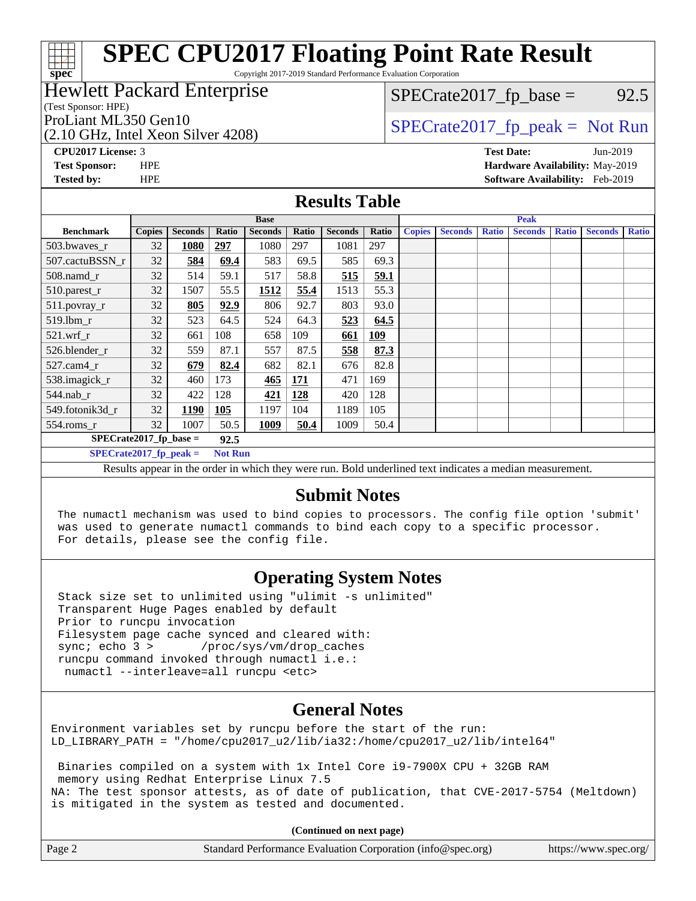Copyright 2017-2019 Standard Performance Evaluation Corporation

### Hewlett Packard Enterprise

(Test Sponsor: HPE)

**[spec](http://www.spec.org/)**

(2.10 GHz, Intel Xeon Silver 4208)

 $SPECTate2017<sub>fp</sub> base = 92.5$ 

## ProLiant ML350 Gen10<br>  $SPECTate2017$  fp\_peak = Not Run

**[CPU2017 License:](http://www.spec.org/auto/cpu2017/Docs/result-fields.html#CPU2017License)** 3 **[Test Date:](http://www.spec.org/auto/cpu2017/Docs/result-fields.html#TestDate)** Jun-2019 **[Test Sponsor:](http://www.spec.org/auto/cpu2017/Docs/result-fields.html#TestSponsor)** HPE **[Hardware Availability:](http://www.spec.org/auto/cpu2017/Docs/result-fields.html#HardwareAvailability)** May-2019 **[Tested by:](http://www.spec.org/auto/cpu2017/Docs/result-fields.html#Testedby)** HPE **[Software Availability:](http://www.spec.org/auto/cpu2017/Docs/result-fields.html#SoftwareAvailability)** Feb-2019

### **[Results Table](http://www.spec.org/auto/cpu2017/Docs/result-fields.html#ResultsTable)**

|                                                                                                                                                                                                                                                                                                        | <b>Base</b>   |                |       |                |            | <b>Peak</b>    |            |               |                |              |                |              |                |              |
|--------------------------------------------------------------------------------------------------------------------------------------------------------------------------------------------------------------------------------------------------------------------------------------------------------|---------------|----------------|-------|----------------|------------|----------------|------------|---------------|----------------|--------------|----------------|--------------|----------------|--------------|
| <b>Benchmark</b>                                                                                                                                                                                                                                                                                       | <b>Copies</b> | <b>Seconds</b> | Ratio | <b>Seconds</b> | Ratio      | <b>Seconds</b> | Ratio      | <b>Copies</b> | <b>Seconds</b> | <b>Ratio</b> | <b>Seconds</b> | <b>Ratio</b> | <b>Seconds</b> | <b>Ratio</b> |
| 503.bwayes r                                                                                                                                                                                                                                                                                           | 32            | 1080           | 297   | 1080           | 297        | 1081           | 297        |               |                |              |                |              |                |              |
| 507.cactuBSSN r                                                                                                                                                                                                                                                                                        | 32            | 584            | 69.4  | 583            | 69.5       | 585            | 69.3       |               |                |              |                |              |                |              |
| $508$ .namd $r$                                                                                                                                                                                                                                                                                        | 32            | 514            | 59.1  | 517            | 58.8       | 515            | 59.1       |               |                |              |                |              |                |              |
| 510.parest_r                                                                                                                                                                                                                                                                                           | 32            | 1507           | 55.5  | 1512           | 55.4       | 1513           | 55.3       |               |                |              |                |              |                |              |
| 511.povray_r                                                                                                                                                                                                                                                                                           | 32            | 805            | 92.9  | 806            | 92.7       | 803            | 93.0       |               |                |              |                |              |                |              |
| 519.lbm r                                                                                                                                                                                                                                                                                              | 32            | 523            | 64.5  | 524            | 64.3       | 523            | 64.5       |               |                |              |                |              |                |              |
| $521$ .wrf r                                                                                                                                                                                                                                                                                           | 32            | 661            | 108   | 658            | 109        | <u>661</u>     | <u>109</u> |               |                |              |                |              |                |              |
| 526.blender r                                                                                                                                                                                                                                                                                          | 32            | 559            | 87.1  | 557            | 87.5       | 558            | 87.3       |               |                |              |                |              |                |              |
| $527$ .cam $4r$                                                                                                                                                                                                                                                                                        | 32            | 679            | 82.4  | 682            | 82.1       | 676            | 82.8       |               |                |              |                |              |                |              |
| 538.imagick_r                                                                                                                                                                                                                                                                                          | 32            | 460            | 173   | 465            | <b>171</b> | 471            | 169        |               |                |              |                |              |                |              |
| $544$ .nab_r                                                                                                                                                                                                                                                                                           | 32            | 422            | 128   | <u>421</u>     | 128        | 420            | 128        |               |                |              |                |              |                |              |
| 549.fotonik3d r                                                                                                                                                                                                                                                                                        | 32            | 1190           | 105   | 1197           | 104        | 1189           | 105        |               |                |              |                |              |                |              |
| $554$ .roms_r                                                                                                                                                                                                                                                                                          | 32            | 1007           | 50.5  | 1009           | 50.4       | 1009           | 50.4       |               |                |              |                |              |                |              |
| $SPECrate2017_fp\_base =$<br>92.5                                                                                                                                                                                                                                                                      |               |                |       |                |            |                |            |               |                |              |                |              |                |              |
| $SPECrate2017$ fp peak =<br><b>Not Run</b>                                                                                                                                                                                                                                                             |               |                |       |                |            |                |            |               |                |              |                |              |                |              |
| Described and control the control to contribute the concerns were<br>$\mathbf{D}$ of discrepance of a set of the discovery of the set of the set of the set of the set of the set of the set of the set of the set of the set of the set of the set of the set of the set of the set of the set of the |               |                |       |                |            |                |            |               |                |              |                |              |                |              |

Results appear in the [order in which they were run.](http://www.spec.org/auto/cpu2017/Docs/result-fields.html#RunOrder) Bold underlined text [indicates a median measurement.](http://www.spec.org/auto/cpu2017/Docs/result-fields.html#Median)

## **[Submit Notes](http://www.spec.org/auto/cpu2017/Docs/result-fields.html#SubmitNotes)**

 The numactl mechanism was used to bind copies to processors. The config file option 'submit' was used to generate numactl commands to bind each copy to a specific processor. For details, please see the config file.

## **[Operating System Notes](http://www.spec.org/auto/cpu2017/Docs/result-fields.html#OperatingSystemNotes)**

 Stack size set to unlimited using "ulimit -s unlimited" Transparent Huge Pages enabled by default Prior to runcpu invocation Filesystem page cache synced and cleared with: sync; echo 3 > /proc/sys/vm/drop\_caches runcpu command invoked through numactl i.e.: numactl --interleave=all runcpu <etc>

## **[General Notes](http://www.spec.org/auto/cpu2017/Docs/result-fields.html#GeneralNotes)**

Environment variables set by runcpu before the start of the run: LD\_LIBRARY\_PATH = "/home/cpu2017\_u2/lib/ia32:/home/cpu2017\_u2/lib/intel64"

 Binaries compiled on a system with 1x Intel Core i9-7900X CPU + 32GB RAM memory using Redhat Enterprise Linux 7.5 NA: The test sponsor attests, as of date of publication, that CVE-2017-5754 (Meltdown) is mitigated in the system as tested and documented.

**(Continued on next page)**

| Page 2<br>Standard Performance Evaluation Corporation (info@spec.org)<br>https://www.spec.org/ |
|------------------------------------------------------------------------------------------------|
|------------------------------------------------------------------------------------------------|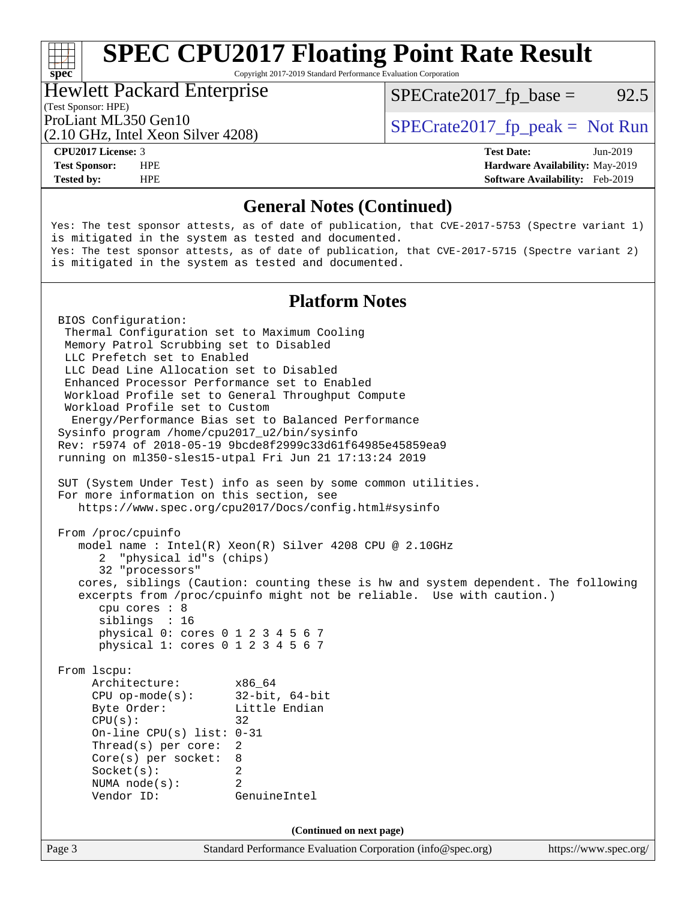Copyright 2017-2019 Standard Performance Evaluation Corporation

#### Hewlett Packard Enterprise

 $SPECTate2017<sub>fp</sub> base = 92.5$ 

(Test Sponsor: HPE)

(2.10 GHz, Intel Xeon Silver 4208)

ProLiant ML350 Gen10  $SPECTA = 2017$  Spectrate 2017\_fp\_peak = Not Run

**[Tested by:](http://www.spec.org/auto/cpu2017/Docs/result-fields.html#Testedby)** HPE **[Software Availability:](http://www.spec.org/auto/cpu2017/Docs/result-fields.html#SoftwareAvailability)** Feb-2019

**[CPU2017 License:](http://www.spec.org/auto/cpu2017/Docs/result-fields.html#CPU2017License)** 3 **[Test Date:](http://www.spec.org/auto/cpu2017/Docs/result-fields.html#TestDate)** Jun-2019 **[Test Sponsor:](http://www.spec.org/auto/cpu2017/Docs/result-fields.html#TestSponsor)** HPE **[Hardware Availability:](http://www.spec.org/auto/cpu2017/Docs/result-fields.html#HardwareAvailability)** May-2019

## **[General Notes \(Continued\)](http://www.spec.org/auto/cpu2017/Docs/result-fields.html#GeneralNotes)**

Yes: The test sponsor attests, as of date of publication, that CVE-2017-5753 (Spectre variant 1) is mitigated in the system as tested and documented. Yes: The test sponsor attests, as of date of publication, that CVE-2017-5715 (Spectre variant 2) is mitigated in the system as tested and documented.

## **[Platform Notes](http://www.spec.org/auto/cpu2017/Docs/result-fields.html#PlatformNotes)**

Page 3 Standard Performance Evaluation Corporation [\(info@spec.org\)](mailto:info@spec.org) <https://www.spec.org/> BIOS Configuration: Thermal Configuration set to Maximum Cooling Memory Patrol Scrubbing set to Disabled LLC Prefetch set to Enabled LLC Dead Line Allocation set to Disabled Enhanced Processor Performance set to Enabled Workload Profile set to General Throughput Compute Workload Profile set to Custom Energy/Performance Bias set to Balanced Performance Sysinfo program /home/cpu2017\_u2/bin/sysinfo Rev: r5974 of 2018-05-19 9bcde8f2999c33d61f64985e45859ea9 running on ml350-sles15-utpal Fri Jun 21 17:13:24 2019 SUT (System Under Test) info as seen by some common utilities. For more information on this section, see <https://www.spec.org/cpu2017/Docs/config.html#sysinfo> From /proc/cpuinfo model name : Intel(R) Xeon(R) Silver 4208 CPU @ 2.10GHz 2 "physical id"s (chips) 32 "processors" cores, siblings (Caution: counting these is hw and system dependent. The following excerpts from /proc/cpuinfo might not be reliable. Use with caution.) cpu cores : 8 siblings : 16 physical 0: cores 0 1 2 3 4 5 6 7 physical 1: cores 0 1 2 3 4 5 6 7 From lscpu: Architecture: x86\_64 CPU op-mode(s): 32-bit, 64-bit Byte Order: Little Endian  $CPU(s):$  32 On-line CPU(s) list: 0-31 Thread(s) per core: 2 Core(s) per socket: 8 Socket(s): 2 NUMA node(s): 2 Vendor ID: GenuineIntel **(Continued on next page)**

**[spec](http://www.spec.org/)**<sup>®</sup>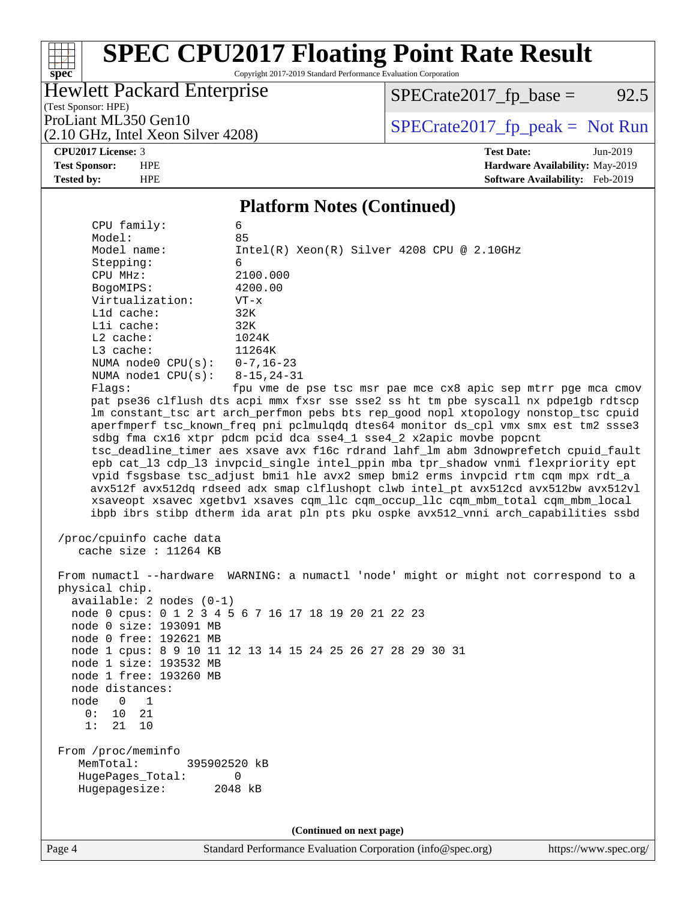Copyright 2017-2019 Standard Performance Evaluation Corporation

## Hewlett Packard Enterprise

(2.10 GHz, Intel Xeon Silver 4208)

 $SPECrate2017_fp\_base = 92.5$ 

(Test Sponsor: HPE)

ProLiant ML350 Gen10<br>  $(2.10 \text{ GHz} \text{ Intel } \text{Xeon Silver } 4208)$  [SPECrate2017\\_fp\\_peak =](http://www.spec.org/auto/cpu2017/Docs/result-fields.html#SPECrate2017fppeak) Not Run

#### **[CPU2017 License:](http://www.spec.org/auto/cpu2017/Docs/result-fields.html#CPU2017License)** 3 **[Test Date:](http://www.spec.org/auto/cpu2017/Docs/result-fields.html#TestDate)** Jun-2019

**[spec](http://www.spec.org/)**

#### **[Test Sponsor:](http://www.spec.org/auto/cpu2017/Docs/result-fields.html#TestSponsor)** HPE **[Hardware Availability:](http://www.spec.org/auto/cpu2017/Docs/result-fields.html#HardwareAvailability)** May-2019 **[Tested by:](http://www.spec.org/auto/cpu2017/Docs/result-fields.html#Testedby)** HPE **[Software Availability:](http://www.spec.org/auto/cpu2017/Docs/result-fields.html#SoftwareAvailability)** Feb-2019

### **[Platform Notes \(Continued\)](http://www.spec.org/auto/cpu2017/Docs/result-fields.html#PlatformNotes)**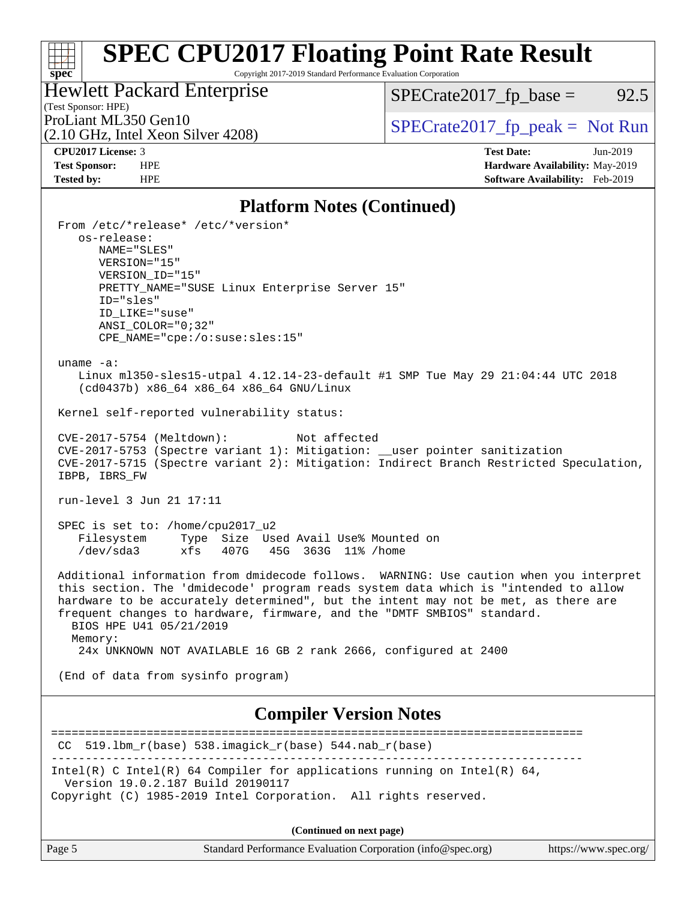Copyright 2017-2019 Standard Performance Evaluation Corporation

## Hewlett Packard Enterprise

 $SPECrate2017_fp\_base = 92.5$ 

## (Test Sponsor: HPE)

(2.10 GHz, Intel Xeon Silver 4208)

ProLiant ML350 Gen10<br>  $(2.10 \text{ GHz} \text{ Intel } \text{Xeon Silver } 4208)$  [SPECrate2017\\_fp\\_peak =](http://www.spec.org/auto/cpu2017/Docs/result-fields.html#SPECrate2017fppeak) Not Run

**[spec](http://www.spec.org/)**

**[CPU2017 License:](http://www.spec.org/auto/cpu2017/Docs/result-fields.html#CPU2017License)** 3 **[Test Date:](http://www.spec.org/auto/cpu2017/Docs/result-fields.html#TestDate)** Jun-2019 **[Test Sponsor:](http://www.spec.org/auto/cpu2017/Docs/result-fields.html#TestSponsor)** HPE **[Hardware Availability:](http://www.spec.org/auto/cpu2017/Docs/result-fields.html#HardwareAvailability)** May-2019 **[Tested by:](http://www.spec.org/auto/cpu2017/Docs/result-fields.html#Testedby)** HPE **[Software Availability:](http://www.spec.org/auto/cpu2017/Docs/result-fields.html#SoftwareAvailability)** Feb-2019

## **[Platform Notes \(Continued\)](http://www.spec.org/auto/cpu2017/Docs/result-fields.html#PlatformNotes)**

| From /etc/*release* /etc/*version*<br>os-release:<br>NAME="SLES"<br>VERSION="15"<br>VERSION ID="15"<br>PRETTY_NAME="SUSE Linux Enterprise Server 15"<br>ID="sles"<br>ID_LIKE="suse"<br>$ANSI$ _COLOR=" $0:32$ "<br>$CPE\_NAME='cpe://o:suse: sles:15"$                                                                                                                                                                                                  |
|---------------------------------------------------------------------------------------------------------------------------------------------------------------------------------------------------------------------------------------------------------------------------------------------------------------------------------------------------------------------------------------------------------------------------------------------------------|
| uname $-a$ :<br>Linux ml350-sles15-utpal 4.12.14-23-default #1 SMP Tue May 29 21:04:44 UTC 2018<br>(cd0437b) x86_64 x86_64 x86_64 GNU/Linux                                                                                                                                                                                                                                                                                                             |
| Kernel self-reported vulnerability status:                                                                                                                                                                                                                                                                                                                                                                                                              |
| CVE-2017-5754 (Meltdown):<br>Not affected<br>CVE-2017-5753 (Spectre variant 1): Mitigation: __user pointer sanitization<br>CVE-2017-5715 (Spectre variant 2): Mitigation: Indirect Branch Restricted Speculation,<br>IBPB, IBRS_FW                                                                                                                                                                                                                      |
| run-level 3 Jun 21 17:11                                                                                                                                                                                                                                                                                                                                                                                                                                |
| SPEC is set to: /home/cpu2017_u2<br>Filesystem Type Size Used Avail Use% Mounted on<br>/dev/sda3<br>xfs 407G 45G 363G 11% / home                                                                                                                                                                                                                                                                                                                        |
| Additional information from dmidecode follows. WARNING: Use caution when you interpret<br>this section. The 'dmidecode' program reads system data which is "intended to allow<br>hardware to be accurately determined", but the intent may not be met, as there are<br>frequent changes to hardware, firmware, and the "DMTF SMBIOS" standard.<br>BIOS HPE U41 05/21/2019<br>Memory:<br>24x UNKNOWN NOT AVAILABLE 16 GB 2 rank 2666, configured at 2400 |
| (End of data from sysinfo program)                                                                                                                                                                                                                                                                                                                                                                                                                      |
| <b>Compiler Version Notes</b>                                                                                                                                                                                                                                                                                                                                                                                                                           |
| 519.1bm_r(base) 538.imagick_r(base) 544.nab_r(base)<br>CC.                                                                                                                                                                                                                                                                                                                                                                                              |
| ____________________________<br>Intel(R) C Intel(R) 64 Compiler for applications running on Intel(R) 64,<br>Version 19.0.2.187 Build 20190117<br>Copyright (C) 1985-2019 Intel Corporation. All rights reserved.                                                                                                                                                                                                                                        |
| (Continued on next page)                                                                                                                                                                                                                                                                                                                                                                                                                                |

Page 5 Standard Performance Evaluation Corporation [\(info@spec.org\)](mailto:info@spec.org) <https://www.spec.org/>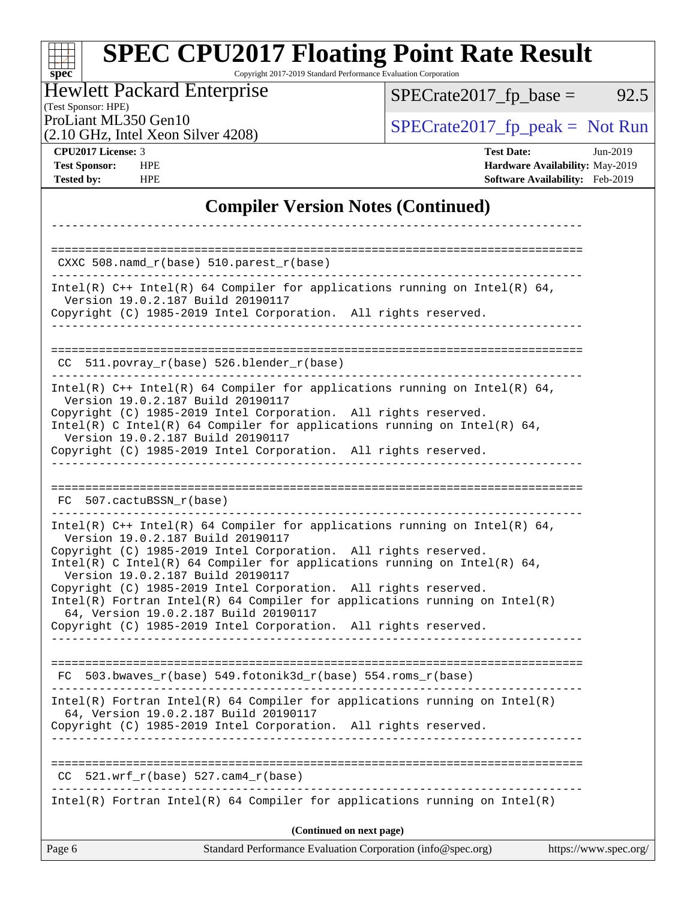Copyright 2017-2019 Standard Performance Evaluation Corporation

Hewlett Packard Enterprise

 $SPECTate2017_fp\_base = 92.5$ 

(Test Sponsor: HPE)<br>ProLiant ML350 Gen10

(2.10 GHz, Intel Xeon Silver 4208)

 $SPECTate 2017_fp\_peak = Not Run$ 

**[spec](http://www.spec.org/)**

**[CPU2017 License:](http://www.spec.org/auto/cpu2017/Docs/result-fields.html#CPU2017License)** 3 **[Test Date:](http://www.spec.org/auto/cpu2017/Docs/result-fields.html#TestDate)** Jun-2019 **[Test Sponsor:](http://www.spec.org/auto/cpu2017/Docs/result-fields.html#TestSponsor)** HPE **[Hardware Availability:](http://www.spec.org/auto/cpu2017/Docs/result-fields.html#HardwareAvailability)** May-2019 **[Tested by:](http://www.spec.org/auto/cpu2017/Docs/result-fields.html#Testedby)** HPE **[Software Availability:](http://www.spec.org/auto/cpu2017/Docs/result-fields.html#SoftwareAvailability)** Feb-2019

## **[Compiler Version Notes \(Continued\)](http://www.spec.org/auto/cpu2017/Docs/result-fields.html#CompilerVersionNotes)**

| Page 6 | Standard Performance Evaluation Corporation (info@spec.org)                                                                                                                                                                                                                                               | https://www.spec.org/ |
|--------|-----------------------------------------------------------------------------------------------------------------------------------------------------------------------------------------------------------------------------------------------------------------------------------------------------------|-----------------------|
|        | (Continued on next page)                                                                                                                                                                                                                                                                                  |                       |
|        | $Intel(R)$ Fortran Intel(R) 64 Compiler for applications running on Intel(R)                                                                                                                                                                                                                              |                       |
| CC.    | $521.wrf_r(base) 527.cam4_r(base)$                                                                                                                                                                                                                                                                        |                       |
|        | Copyright (C) 1985-2019 Intel Corporation. All rights reserved.                                                                                                                                                                                                                                           |                       |
|        | Intel(R) Fortran Intel(R) 64 Compiler for applications running on $Intel(R)$<br>64, Version 19.0.2.187 Build 20190117                                                                                                                                                                                     |                       |
|        | FC 503.bwaves $r(base)$ 549.fotonik3d $r(base)$ 554.roms $r(base)$                                                                                                                                                                                                                                        |                       |
|        | Copyright (C) 1985-2019 Intel Corporation. All rights reserved.<br>____________________                                                                                                                                                                                                                   |                       |
|        | Intel(R) C Intel(R) 64 Compiler for applications running on Intel(R) 64,<br>Version 19.0.2.187 Build 20190117<br>Copyright (C) 1985-2019 Intel Corporation. All rights reserved.<br>$Intel(R)$ Fortran Intel(R) 64 Compiler for applications running on Intel(R)<br>64, Version 19.0.2.187 Build 20190117 |                       |
|        | Intel(R) $C++$ Intel(R) 64 Compiler for applications running on Intel(R) 64,<br>Version 19.0.2.187 Build 20190117<br>Copyright (C) 1985-2019 Intel Corporation. All rights reserved.                                                                                                                      |                       |
|        | FC 507.cactuBSSN r(base)                                                                                                                                                                                                                                                                                  |                       |
|        |                                                                                                                                                                                                                                                                                                           |                       |
|        | Intel(R) C Intel(R) 64 Compiler for applications running on Intel(R) 64,<br>Version 19.0.2.187 Build 20190117<br>Copyright (C) 1985-2019 Intel Corporation. All rights reserved.                                                                                                                          |                       |
|        | Intel(R) $C++$ Intel(R) 64 Compiler for applications running on Intel(R) 64,<br>Version 19.0.2.187 Build 20190117<br>Copyright (C) 1985-2019 Intel Corporation. All rights reserved.                                                                                                                      |                       |
|        | $CC$ 511.povray_r(base) 526.blender_r(base)                                                                                                                                                                                                                                                               |                       |
|        | Version 19.0.2.187 Build 20190117<br>Copyright (C) 1985-2019 Intel Corporation. All rights reserved.                                                                                                                                                                                                      |                       |
|        | Intel(R) $C++$ Intel(R) 64 Compiler for applications running on Intel(R) 64,                                                                                                                                                                                                                              |                       |
|        | CXXC $508.namd_r(base) 510.parest_r(base)$                                                                                                                                                                                                                                                                |                       |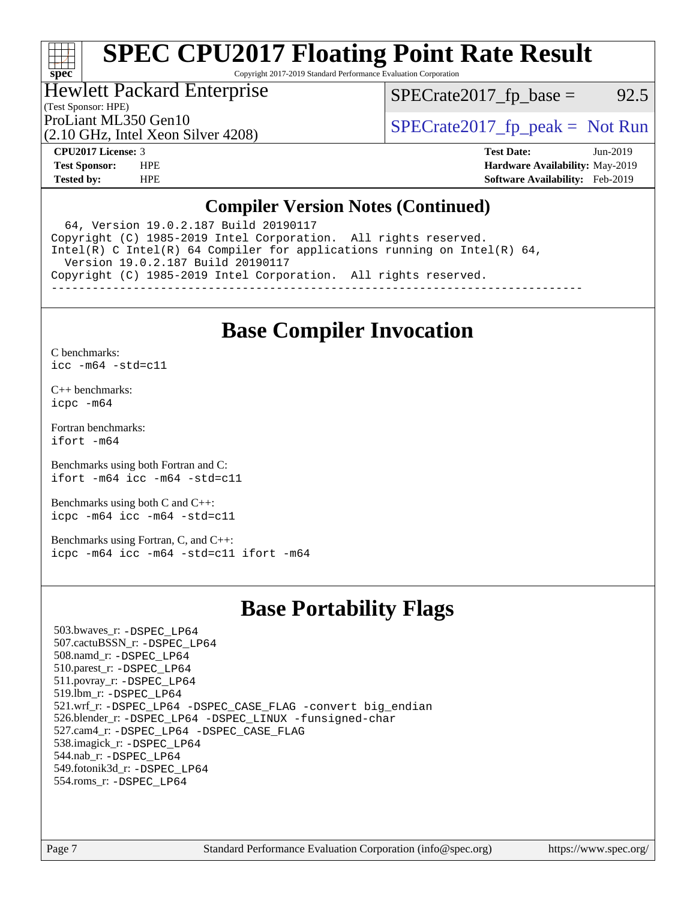# **[spec](http://www.spec.org/)**

# **[SPEC CPU2017 Floating Point Rate Result](http://www.spec.org/auto/cpu2017/Docs/result-fields.html#SPECCPU2017FloatingPointRateResult)**

Copyright 2017-2019 Standard Performance Evaluation Corporation

## Hewlett Packard Enterprise

(Test Sponsor: HPE)

 $SPECTate2017<sub>fp</sub> base = 92.5$ 

(2.10 GHz, Intel Xeon Silver 4208)

ProLiant ML350 Gen10<br>  $SPECTate2017$  fp\_peak = Not Run

**[CPU2017 License:](http://www.spec.org/auto/cpu2017/Docs/result-fields.html#CPU2017License)** 3 **[Test Date:](http://www.spec.org/auto/cpu2017/Docs/result-fields.html#TestDate)** Jun-2019 **[Test Sponsor:](http://www.spec.org/auto/cpu2017/Docs/result-fields.html#TestSponsor)** HPE **[Hardware Availability:](http://www.spec.org/auto/cpu2017/Docs/result-fields.html#HardwareAvailability)** May-2019 **[Tested by:](http://www.spec.org/auto/cpu2017/Docs/result-fields.html#Testedby)** HPE **[Software Availability:](http://www.spec.org/auto/cpu2017/Docs/result-fields.html#SoftwareAvailability)** Feb-2019

## **[Compiler Version Notes \(Continued\)](http://www.spec.org/auto/cpu2017/Docs/result-fields.html#CompilerVersionNotes)**

 64, Version 19.0.2.187 Build 20190117 Copyright (C) 1985-2019 Intel Corporation. All rights reserved. Intel(R) C Intel(R) 64 Compiler for applications running on Intel(R) 64, Version 19.0.2.187 Build 20190117 Copyright (C) 1985-2019 Intel Corporation. All rights reserved. ------------------------------------------------------------------------------

## **[Base Compiler Invocation](http://www.spec.org/auto/cpu2017/Docs/result-fields.html#BaseCompilerInvocation)**

[C benchmarks](http://www.spec.org/auto/cpu2017/Docs/result-fields.html#Cbenchmarks):

[icc -m64 -std=c11](http://www.spec.org/cpu2017/results/res2019q3/cpu2017-20190708-16032.flags.html#user_CCbase_intel_icc_64bit_c11_33ee0cdaae7deeeab2a9725423ba97205ce30f63b9926c2519791662299b76a0318f32ddfffdc46587804de3178b4f9328c46fa7c2b0cd779d7a61945c91cd35)

[C++ benchmarks:](http://www.spec.org/auto/cpu2017/Docs/result-fields.html#CXXbenchmarks) [icpc -m64](http://www.spec.org/cpu2017/results/res2019q3/cpu2017-20190708-16032.flags.html#user_CXXbase_intel_icpc_64bit_4ecb2543ae3f1412ef961e0650ca070fec7b7afdcd6ed48761b84423119d1bf6bdf5cad15b44d48e7256388bc77273b966e5eb805aefd121eb22e9299b2ec9d9)

[Fortran benchmarks](http://www.spec.org/auto/cpu2017/Docs/result-fields.html#Fortranbenchmarks): [ifort -m64](http://www.spec.org/cpu2017/results/res2019q3/cpu2017-20190708-16032.flags.html#user_FCbase_intel_ifort_64bit_24f2bb282fbaeffd6157abe4f878425411749daecae9a33200eee2bee2fe76f3b89351d69a8130dd5949958ce389cf37ff59a95e7a40d588e8d3a57e0c3fd751)

[Benchmarks using both Fortran and C](http://www.spec.org/auto/cpu2017/Docs/result-fields.html#BenchmarksusingbothFortranandC): [ifort -m64](http://www.spec.org/cpu2017/results/res2019q3/cpu2017-20190708-16032.flags.html#user_CC_FCbase_intel_ifort_64bit_24f2bb282fbaeffd6157abe4f878425411749daecae9a33200eee2bee2fe76f3b89351d69a8130dd5949958ce389cf37ff59a95e7a40d588e8d3a57e0c3fd751) [icc -m64 -std=c11](http://www.spec.org/cpu2017/results/res2019q3/cpu2017-20190708-16032.flags.html#user_CC_FCbase_intel_icc_64bit_c11_33ee0cdaae7deeeab2a9725423ba97205ce30f63b9926c2519791662299b76a0318f32ddfffdc46587804de3178b4f9328c46fa7c2b0cd779d7a61945c91cd35)

[Benchmarks using both C and C++](http://www.spec.org/auto/cpu2017/Docs/result-fields.html#BenchmarksusingbothCandCXX): [icpc -m64](http://www.spec.org/cpu2017/results/res2019q3/cpu2017-20190708-16032.flags.html#user_CC_CXXbase_intel_icpc_64bit_4ecb2543ae3f1412ef961e0650ca070fec7b7afdcd6ed48761b84423119d1bf6bdf5cad15b44d48e7256388bc77273b966e5eb805aefd121eb22e9299b2ec9d9) [icc -m64 -std=c11](http://www.spec.org/cpu2017/results/res2019q3/cpu2017-20190708-16032.flags.html#user_CC_CXXbase_intel_icc_64bit_c11_33ee0cdaae7deeeab2a9725423ba97205ce30f63b9926c2519791662299b76a0318f32ddfffdc46587804de3178b4f9328c46fa7c2b0cd779d7a61945c91cd35)

[Benchmarks using Fortran, C, and C++:](http://www.spec.org/auto/cpu2017/Docs/result-fields.html#BenchmarksusingFortranCandCXX) [icpc -m64](http://www.spec.org/cpu2017/results/res2019q3/cpu2017-20190708-16032.flags.html#user_CC_CXX_FCbase_intel_icpc_64bit_4ecb2543ae3f1412ef961e0650ca070fec7b7afdcd6ed48761b84423119d1bf6bdf5cad15b44d48e7256388bc77273b966e5eb805aefd121eb22e9299b2ec9d9) [icc -m64 -std=c11](http://www.spec.org/cpu2017/results/res2019q3/cpu2017-20190708-16032.flags.html#user_CC_CXX_FCbase_intel_icc_64bit_c11_33ee0cdaae7deeeab2a9725423ba97205ce30f63b9926c2519791662299b76a0318f32ddfffdc46587804de3178b4f9328c46fa7c2b0cd779d7a61945c91cd35) [ifort -m64](http://www.spec.org/cpu2017/results/res2019q3/cpu2017-20190708-16032.flags.html#user_CC_CXX_FCbase_intel_ifort_64bit_24f2bb282fbaeffd6157abe4f878425411749daecae9a33200eee2bee2fe76f3b89351d69a8130dd5949958ce389cf37ff59a95e7a40d588e8d3a57e0c3fd751)

## **[Base Portability Flags](http://www.spec.org/auto/cpu2017/Docs/result-fields.html#BasePortabilityFlags)**

 503.bwaves\_r: [-DSPEC\\_LP64](http://www.spec.org/cpu2017/results/res2019q3/cpu2017-20190708-16032.flags.html#suite_basePORTABILITY503_bwaves_r_DSPEC_LP64) 507.cactuBSSN\_r: [-DSPEC\\_LP64](http://www.spec.org/cpu2017/results/res2019q3/cpu2017-20190708-16032.flags.html#suite_basePORTABILITY507_cactuBSSN_r_DSPEC_LP64) 508.namd\_r: [-DSPEC\\_LP64](http://www.spec.org/cpu2017/results/res2019q3/cpu2017-20190708-16032.flags.html#suite_basePORTABILITY508_namd_r_DSPEC_LP64) 510.parest\_r: [-DSPEC\\_LP64](http://www.spec.org/cpu2017/results/res2019q3/cpu2017-20190708-16032.flags.html#suite_basePORTABILITY510_parest_r_DSPEC_LP64) 511.povray\_r: [-DSPEC\\_LP64](http://www.spec.org/cpu2017/results/res2019q3/cpu2017-20190708-16032.flags.html#suite_basePORTABILITY511_povray_r_DSPEC_LP64) 519.lbm\_r: [-DSPEC\\_LP64](http://www.spec.org/cpu2017/results/res2019q3/cpu2017-20190708-16032.flags.html#suite_basePORTABILITY519_lbm_r_DSPEC_LP64) 521.wrf\_r: [-DSPEC\\_LP64](http://www.spec.org/cpu2017/results/res2019q3/cpu2017-20190708-16032.flags.html#suite_basePORTABILITY521_wrf_r_DSPEC_LP64) [-DSPEC\\_CASE\\_FLAG](http://www.spec.org/cpu2017/results/res2019q3/cpu2017-20190708-16032.flags.html#b521.wrf_r_baseCPORTABILITY_DSPEC_CASE_FLAG) [-convert big\\_endian](http://www.spec.org/cpu2017/results/res2019q3/cpu2017-20190708-16032.flags.html#user_baseFPORTABILITY521_wrf_r_convert_big_endian_c3194028bc08c63ac5d04de18c48ce6d347e4e562e8892b8bdbdc0214820426deb8554edfa529a3fb25a586e65a3d812c835984020483e7e73212c4d31a38223) 526.blender\_r: [-DSPEC\\_LP64](http://www.spec.org/cpu2017/results/res2019q3/cpu2017-20190708-16032.flags.html#suite_basePORTABILITY526_blender_r_DSPEC_LP64) [-DSPEC\\_LINUX](http://www.spec.org/cpu2017/results/res2019q3/cpu2017-20190708-16032.flags.html#b526.blender_r_baseCPORTABILITY_DSPEC_LINUX) [-funsigned-char](http://www.spec.org/cpu2017/results/res2019q3/cpu2017-20190708-16032.flags.html#user_baseCPORTABILITY526_blender_r_force_uchar_40c60f00ab013830e2dd6774aeded3ff59883ba5a1fc5fc14077f794d777847726e2a5858cbc7672e36e1b067e7e5c1d9a74f7176df07886a243d7cc18edfe67) 527.cam4\_r: [-DSPEC\\_LP64](http://www.spec.org/cpu2017/results/res2019q3/cpu2017-20190708-16032.flags.html#suite_basePORTABILITY527_cam4_r_DSPEC_LP64) [-DSPEC\\_CASE\\_FLAG](http://www.spec.org/cpu2017/results/res2019q3/cpu2017-20190708-16032.flags.html#b527.cam4_r_baseCPORTABILITY_DSPEC_CASE_FLAG) 538.imagick\_r: [-DSPEC\\_LP64](http://www.spec.org/cpu2017/results/res2019q3/cpu2017-20190708-16032.flags.html#suite_basePORTABILITY538_imagick_r_DSPEC_LP64) 544.nab\_r: [-DSPEC\\_LP64](http://www.spec.org/cpu2017/results/res2019q3/cpu2017-20190708-16032.flags.html#suite_basePORTABILITY544_nab_r_DSPEC_LP64) 549.fotonik3d\_r: [-DSPEC\\_LP64](http://www.spec.org/cpu2017/results/res2019q3/cpu2017-20190708-16032.flags.html#suite_basePORTABILITY549_fotonik3d_r_DSPEC_LP64) 554.roms\_r: [-DSPEC\\_LP64](http://www.spec.org/cpu2017/results/res2019q3/cpu2017-20190708-16032.flags.html#suite_basePORTABILITY554_roms_r_DSPEC_LP64)